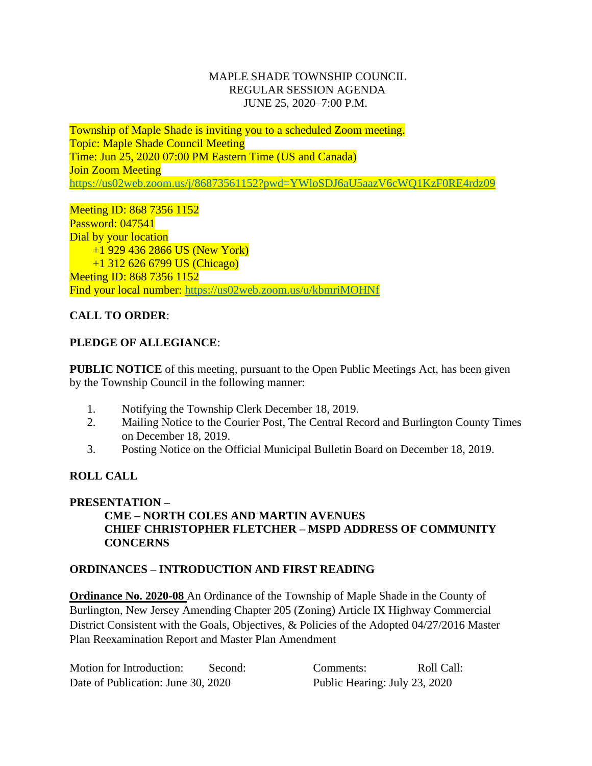#### MAPLE SHADE TOWNSHIP COUNCIL REGULAR SESSION AGENDA JUNE 25, 2020–7:00 P.M.

Township of Maple Shade is inviting you to a scheduled Zoom meeting. Topic: Maple Shade Council Meeting Time: Jun 25, 2020 07:00 PM Eastern Time (US and Canada) **Join Zoom Meeting** <https://us02web.zoom.us/j/86873561152?pwd=YWloSDJ6aU5aazV6cWQ1KzF0RE4rdz09>

## Meeting ID: 868 7356 1152

Password: 047541 Dial by your location +1 929 436 2866 US (New York) +1 312 626 6799 US (Chicago) Meeting ID: 868 7356 1152 Find your local number:<https://us02web.zoom.us/u/kbmriMOHNf>

## **CALL TO ORDER**:

## **PLEDGE OF ALLEGIANCE**:

**PUBLIC NOTICE** of this meeting, pursuant to the Open Public Meetings Act, has been given by the Township Council in the following manner:

- 1. Notifying the Township Clerk December 18, 2019.
- 2. Mailing Notice to the Courier Post, The Central Record and Burlington County Times on December 18, 2019.
- 3. Posting Notice on the Official Municipal Bulletin Board on December 18, 2019.

## **ROLL CALL**

## **PRESENTATION –**

## **CME – NORTH COLES AND MARTIN AVENUES CHIEF CHRISTOPHER FLETCHER – MSPD ADDRESS OF COMMUNITY CONCERNS**

## **ORDINANCES – INTRODUCTION AND FIRST READING**

**Ordinance No. 2020-08** An Ordinance of the Township of Maple Shade in the County of Burlington, New Jersey Amending Chapter 205 (Zoning) Article IX Highway Commercial District Consistent with the Goals, Objectives, & Policies of the Adopted 04/27/2016 Master Plan Reexamination Report and Master Plan Amendment

Motion for Introduction: Second: Comments: Roll Call: Date of Publication: June 30, 2020 Public Hearing: July 23, 2020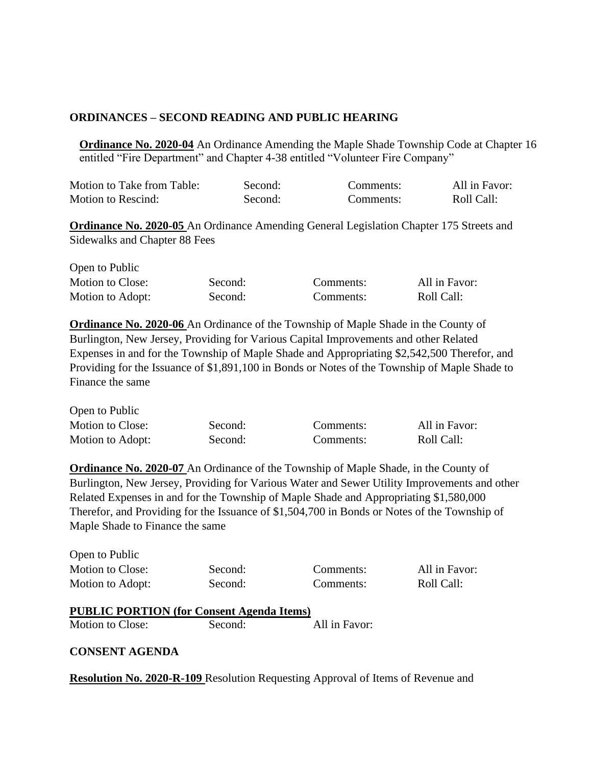#### **ORDINANCES – SECOND READING AND PUBLIC HEARING**

**Ordinance No. 2020-04** An Ordinance Amending the Maple Shade Township Code at Chapter 16 entitled "Fire Department" and Chapter 4-38 entitled "Volunteer Fire Company"

| Motion to Take from Table: | Second: | Comments: | All in Favor: |
|----------------------------|---------|-----------|---------------|
| Motion to Rescind:         | Second: | Comments: | Roll Call:    |

**Ordinance No. 2020-05** An Ordinance Amending General Legislation Chapter 175 Streets and Sidewalks and Chapter 88 Fees

| Open to Public   |         |           |               |
|------------------|---------|-----------|---------------|
| Motion to Close: | Second: | Comments: | All in Favor: |
| Motion to Adopt: | Second: | Comments: | Roll Call:    |

**Ordinance No. 2020-06** An Ordinance of the Township of Maple Shade in the County of Burlington, New Jersey, Providing for Various Capital Improvements and other Related Expenses in and for the Township of Maple Shade and Appropriating \$2,542,500 Therefor, and Providing for the Issuance of \$1,891,100 in Bonds or Notes of the Township of Maple Shade to Finance the same

| Open to Public   |         |           |               |
|------------------|---------|-----------|---------------|
| Motion to Close: | Second: | Comments: | All in Favor: |
| Motion to Adopt: | Second: | Comments: | Roll Call:    |

**Ordinance No. 2020-07** An Ordinance of the Township of Maple Shade, in the County of Burlington, New Jersey, Providing for Various Water and Sewer Utility Improvements and other Related Expenses in and for the Township of Maple Shade and Appropriating \$1,580,000 Therefor, and Providing for the Issuance of \$1,504,700 in Bonds or Notes of the Township of Maple Shade to Finance the same

| Open to Public   |  |
|------------------|--|
| Motion to Close: |  |
| Motion to Adopt: |  |

Second: Comments: All in Favor: Second: Comments: Roll Call:

# **PUBLIC PORTION (for Consent Agenda Items)** Motion to Close: Second: All in Favor:

#### **CONSENT AGENDA**

**Resolution No. 2020-R-109** Resolution Requesting Approval of Items of Revenue and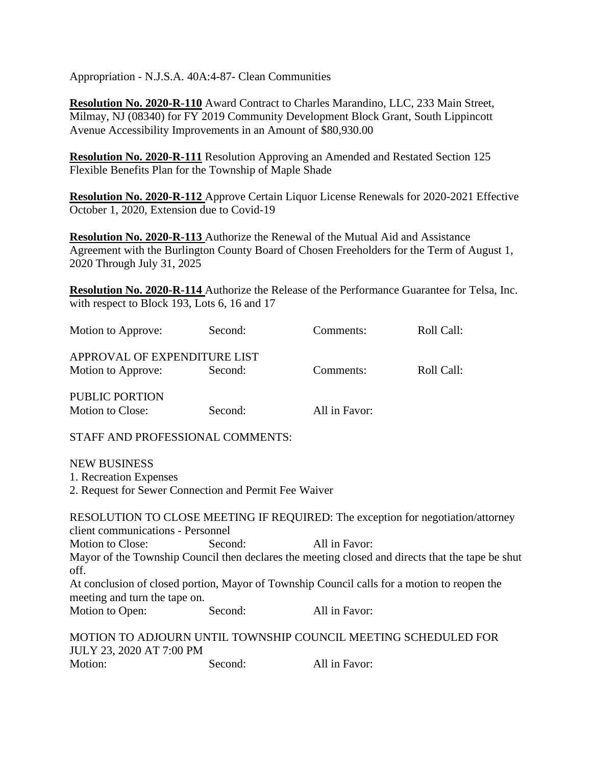Appropriation - N.J.S.A. 40A:4-87- Clean Communities

**Resolution No. 2020-R-110** Award Contract to Charles Marandino, LLC, 233 Main Street, Milmay, NJ (08340) for FY 2019 Community Development Block Grant, South Lippincott Avenue Accessibility Improvements in an Amount of \$80,930.00

**Resolution No. 2020-R-111** Resolution Approving an Amended and Restated Section 125 Flexible Benefits Plan for the Township of Maple Shade

**Resolution No. 2020-R-112** Approve Certain Liquor License Renewals for 2020-2021 Effective October 1, 2020, Extension due to Covid-19

**Resolution No. 2020-R-113** Authorize the Renewal of the Mutual Aid and Assistance Agreement with the Burlington County Board of Chosen Freeholders for the Term of August 1, 2020 Through July 31, 2025

**Resolution No. 2020-R-114** Authorize the Release of the Performance Guarantee for Telsa, Inc. with respect to Block 193, Lots 6, 16 and 17

| Motion to Approve:                                                                                                           | Second: | Comments:     | Roll Call:                                                                                       |
|------------------------------------------------------------------------------------------------------------------------------|---------|---------------|--------------------------------------------------------------------------------------------------|
| APPROVAL OF EXPENDITURE LIST                                                                                                 |         |               |                                                                                                  |
| Motion to Approve:                                                                                                           | Second: | Comments:     | Roll Call:                                                                                       |
| PUBLIC PORTION                                                                                                               |         |               |                                                                                                  |
| Motion to Close:                                                                                                             | Second: | All in Favor: |                                                                                                  |
| STAFF AND PROFESSIONAL COMMENTS:                                                                                             |         |               |                                                                                                  |
| <b>NEW BUSINESS</b>                                                                                                          |         |               |                                                                                                  |
| 1. Recreation Expenses                                                                                                       |         |               |                                                                                                  |
| 2. Request for Sewer Connection and Permit Fee Waiver                                                                        |         |               |                                                                                                  |
| client communications - Personnel                                                                                            |         |               | RESOLUTION TO CLOSE MEETING IF REQUIRED: The exception for negotiation/attorney                  |
| Motion to Close:                                                                                                             | Second: | All in Favor: |                                                                                                  |
| off.                                                                                                                         |         |               | Mayor of the Township Council then declares the meeting closed and directs that the tape be shut |
| At conclusion of closed portion, Mayor of Township Council calls for a motion to reopen the<br>meeting and turn the tape on. |         |               |                                                                                                  |
| Motion to Open:                                                                                                              | Second: | All in Favor: |                                                                                                  |
| MOTION TO ADJOURN UNTIL TOWNSHIP COUNCIL MEETING SCHEDULED FOR<br>JULY 23, 2020 AT 7:00 PM                                   |         |               |                                                                                                  |
| Motion:                                                                                                                      | Second: | All in Favor: |                                                                                                  |